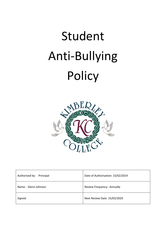# Student Anti-Bullying Policy



| Authorised by: Principal | Date of Authorisation: 15/02/2019 |
|--------------------------|-----------------------------------|
| Name: Glenn Johnson      | Review Frequency: Annually        |
| Signed:                  | Next Review Date: 15/02/2020      |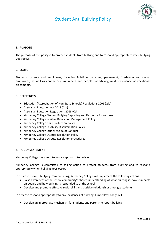# Student Anti Bullying Policy



## **1. PURPOSE**

The purpose of this policy is to protect students from bullying and to respond appropriately when bullying does occur.

## **2. SCOPE**

Students, parents and employees, including full-time part-time, permanent, fixed-term and casual employees, as well as contractors, volunteers and people undertaking work experience or vocational placements.

## **3. REFERENCES**

- Education (Accreditation of Non-State Schools) Regulations 2001 (Qld)
- Australian Education Act 2013 (Cth)
- Australian Education Regulations 2013 (Cth)
- Kimberley College Student Bullying Reporting and Response Procedures
- Kimberley College Positive Behaviour Management Policy
- Kimberley College Child Protection Policy
- Kimberley College Disability Discrimination Policy
- Kimberley College Student Code of Conduct
- Kimberley College Dispute Resolution Policy
- Kimberley College Dispute Resolution Procedures

## **4. POLICY STATEMENT**

Kimberley College has a zero tolerance approach to bullying.

Kimberley College is committed to taking action to protect students from bullying and to respond appropriately when bullying does occur.

In order to prevent bullying from occurring, Kimberley College will implement the following actions:

- Raise awareness of the school community's shared understanding of what bullying is, how it impacts on people and how bullying is responded to at the school
- Develop and promote effective social skills and positive relationships amongst students

In order to respond appropriately to any incidences of bullying, Kimberley College will:

Develop an appropriate mechanism for students and parents to report bullying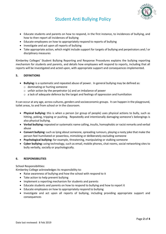

## Student Anti Bullying Policy

- Educate students and parents on how to respond, in the first instance, to incidences of bullying, and how to then report all incidences of bullying
- Educate employees on how to appropriately respond to reports of bullying
- Investigate and act upon all reports of bullying
- Take appropriate action, which might include support for targets of bullying and perpetrators and / or disciplinary measures

Kimberley Colleges' Student Bullying Reporting and Response Procedures explains the bullying reporting mechanism for students and parents, and details how employees will respond to reports, including that all reports will be investigated and acted upon, with appropriate support and consequences implemented.

## **5. DEFINITIONS**

- **Bullying:** is a systematic and repeated abuse of power. In general bullying may be defined as:
	- o dominating or hurting someone
	- o unfair action by the perpetrator (s) and an imbalance of power
	- $\circ$  a lack of adequate defence by the target and feelings of oppression and humiliation

It can occur at any age, across cultures, genders and socioeconomic groups. It can happen in the playground, toilet areas, to and from school or in the classroom.

- **Physical bullying:** this is when a person (or group of people) uses physical actions to bully, such as hitting, poking, tripping or pushing. Repeatedly and intentionally damaging someone's belongings is also physical bullying.
- **Verbal bullying:** repeated or systematic name calling, insults, homophobic or racist remarks and verbal abuse
- **Convert bullying:** such as lying about someone, spreading rumours, playing a nasty joke that make the person feel humiliated or powerless, mimicking or deliberately excluding someone
- **Psychological bullying:** for example, threatening, manipulating or stalking someone
- **Cyber bullying:** using technology, such as email, mobile phones, chat rooms, social networking sites to bully verbally, socially or psychologically.

## **6. RESPONSIBILITIES**

School Responsibilities:

Kimberley College acknowledges its responsibility to:

- Raise awareness of bullying and how the school with respond to it
- Take action to help prevent bullying
- Implement a reporting mechanism for students and parents
- Educate students and parents on how to respond to bullying and how to report it
- Educate employees on how to appropriately respond to bullying
- Investigate and act upon all reports of bullying, including providing appropriate support and consequences